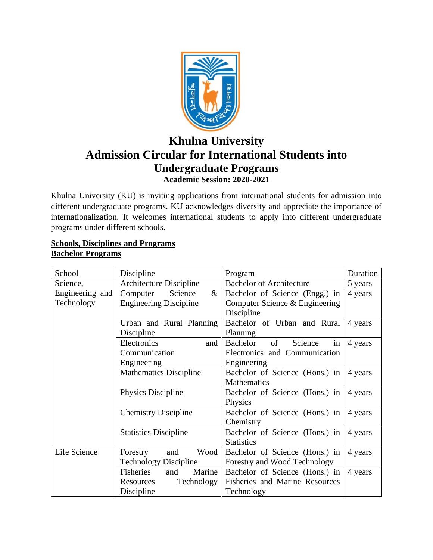

# **Khulna University Admission Circular for International Students into Undergraduate Programs Academic Session: 2020-2021**

Khulna University (KU) is inviting applications from international students for admission into different undergraduate programs. KU acknowledges diversity and appreciate the importance of internationalization. It welcomes international students to apply into different undergraduate programs under different schools.

## **Schools, Disciplines and Programs Bachelor Programs**

| School          | Discipline                    | Program                         | Duration |
|-----------------|-------------------------------|---------------------------------|----------|
| Science,        | Architecture Discipline       | <b>Bachelor of Architecture</b> | 5 years  |
| Engineering and | $\&$<br>Science<br>Computer   | Bachelor of Science (Engg.) in  | 4 years  |
| Technology      | <b>Engineering Discipline</b> | Computer Science & Engineering  |          |
|                 |                               | Discipline                      |          |
|                 | Urban and Rural Planning      | Bachelor of Urban and Rural     | 4 years  |
|                 | Discipline                    | Planning                        |          |
|                 | Electronics<br>and            | of<br>Bachelor<br>Science<br>in | 4 years  |
|                 | Communication                 | Electronics and Communication   |          |
|                 | Engineering                   | Engineering                     |          |
|                 | <b>Mathematics Discipline</b> | Bachelor of Science (Hons.) in  | 4 years  |
|                 |                               | Mathematics                     |          |
|                 | Physics Discipline            | Bachelor of Science (Hons.) in  | 4 years  |
|                 |                               | Physics                         |          |
|                 | <b>Chemistry Discipline</b>   | Bachelor of Science (Hons.) in  | 4 years  |
|                 |                               | Chemistry                       |          |
|                 | <b>Statistics Discipline</b>  | Bachelor of Science (Hons.) in  | 4 years  |
|                 |                               | <b>Statistics</b>               |          |
| Life Science    | Wood<br>Forestry<br>and       | Bachelor of Science (Hons.) in  | 4 years  |
|                 | <b>Technology Discipline</b>  | Forestry and Wood Technology    |          |
|                 | Fisheries<br>Marine<br>and    | Bachelor of Science (Hons.) in  | 4 years  |
|                 | Technology<br>Resources       | Fisheries and Marine Resources  |          |
|                 | Discipline                    | Technology                      |          |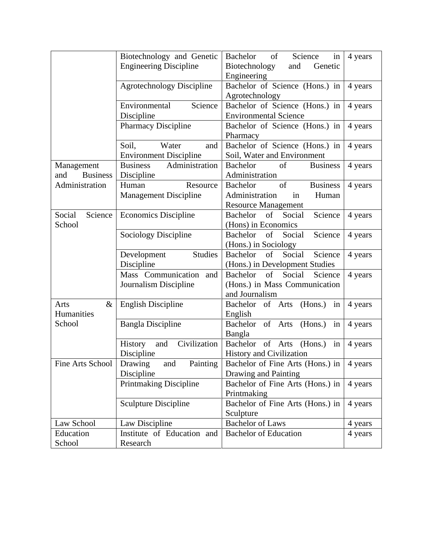|                        | Biotechnology and Genetic         | of<br>Science<br>Bachelor<br>in            | 4 years |
|------------------------|-----------------------------------|--------------------------------------------|---------|
|                        | <b>Engineering Discipline</b>     | Biotechnology<br>and<br>Genetic            |         |
|                        |                                   | Engineering                                |         |
|                        | <b>Agrotechnology Discipline</b>  | Bachelor of Science (Hons.) in             | 4 years |
|                        |                                   | Agrotechnology                             |         |
|                        | Science<br>Environmental          | Bachelor of Science (Hons.) in             | 4 years |
|                        | Discipline                        | <b>Environmental Science</b>               |         |
|                        | <b>Pharmacy Discipline</b>        | Bachelor of Science (Hons.) in             | 4 years |
|                        |                                   | Pharmacy                                   |         |
|                        | Water<br>Soil,<br>and             | Bachelor of Science (Hons.) in             | 4 years |
|                        | <b>Environment Discipline</b>     | Soil, Water and Environment                |         |
| Management             | <b>Business</b><br>Administration | <b>Business</b><br><b>Bachelor</b><br>of   | 4 years |
| <b>Business</b><br>and | Discipline                        | Administration                             |         |
| Administration         | Resource<br>Human                 | of<br><b>Business</b><br><b>Bachelor</b>   | 4 years |
|                        | <b>Management Discipline</b>      | Administration<br>Human<br>in              |         |
|                        |                                   | <b>Resource Management</b>                 |         |
| Science<br>Social      | <b>Economics Discipline</b>       | Science<br>of<br>Bachelor<br>Social        | 4 years |
| School                 |                                   | (Hons) in Economics                        |         |
|                        | Sociology Discipline              | of<br>Social<br>Bachelor<br>Science        | 4 years |
|                        |                                   | (Hons.) in Sociology                       |         |
|                        | Studies<br>Development            | Social<br>Science<br><b>Bachelor</b><br>of | 4 years |
|                        | Discipline                        | (Hons.) in Development Studies             |         |
|                        | Mass Communication<br>and         | <b>Bachelor</b><br>of<br>Social<br>Science | 4 years |
|                        | Journalism Discipline             | (Hons.) in Mass Communication              |         |
|                        |                                   | and Journalism                             |         |
| $\&$<br>Arts           | <b>English Discipline</b>         | in<br>Bachelor of Arts<br>(Hons.)          | 4 years |
| Humanities             |                                   | English                                    |         |
| School                 | <b>Bangla Discipline</b>          | Bachelor of Arts (Hons.)<br>in             | 4 years |
|                        |                                   | Bangla                                     |         |
|                        | Civilization<br>History<br>and    | Bachelor<br>of Arts<br>(Hons.)<br>in       | 4 years |
|                        | Discipline                        | <b>History and Civilization</b>            |         |
| Fine Arts School       | Painting<br>Drawing<br>and        | Bachelor of Fine Arts (Hons.) in           | 4 years |
|                        | Discipline                        | Drawing and Painting                       |         |
|                        | <b>Printmaking Discipline</b>     | Bachelor of Fine Arts (Hons.) in           | 4 years |
|                        |                                   | Printmaking                                |         |
|                        | Sculpture Discipline              | Bachelor of Fine Arts (Hons.) in           | 4 years |
|                        |                                   | Sculpture                                  |         |
| Law School             | Law Discipline                    | <b>Bachelor</b> of Laws                    | 4 years |
| Education              | Institute of Education and        | <b>Bachelor of Education</b>               | 4 years |
| School                 | Research                          |                                            |         |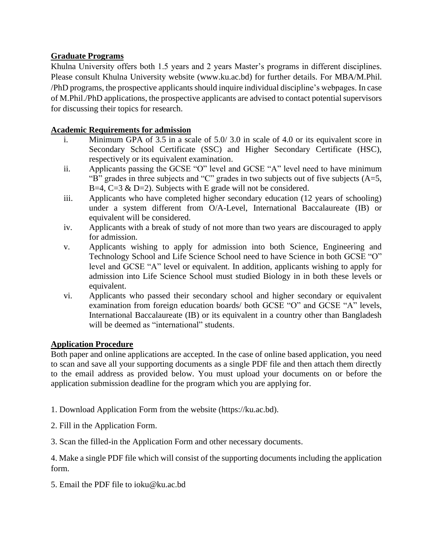# **Graduate Programs**

Khulna University offers both 1.5 years and 2 years Master's programs in different disciplines. Please consult Khulna University website (www.ku.ac.bd) for further details. For MBA/M.Phil. /PhD programs, the prospective applicants should inquire individual discipline's webpages. In case of M.Phil./PhD applications, the prospective applicants are advised to contact potential supervisors for discussing their topics for research.

# **Academic Requirements for admission**

- i. Minimum GPA of 3.5 in a scale of 5.0/ 3.0 in scale of 4.0 or its equivalent score in Secondary School Certificate (SSC) and Higher Secondary Certificate (HSC), respectively or its equivalent examination.
- ii. Applicants passing the GCSE "O" level and GCSE "A" level need to have minimum "B" grades in three subjects and "C" grades in two subjects out of five subjects  $(A=5,$ B=4,  $C=3$  & D=2). Subjects with E grade will not be considered.
- iii. Applicants who have completed higher secondary education (12 years of schooling) under a system different from O/A-Level, International Baccalaureate (IB) or equivalent will be considered.
- iv. Applicants with a break of study of not more than two years are discouraged to apply for admission.
- v. Applicants wishing to apply for admission into both Science, Engineering and Technology School and Life Science School need to have Science in both GCSE "O" level and GCSE "A" level or equivalent. In addition, applicants wishing to apply for admission into Life Science School must studied Biology in in both these levels or equivalent.
- vi. Applicants who passed their secondary school and higher secondary or equivalent examination from foreign education boards/ both GCSE "O" and GCSE "A" levels, International Baccalaureate (IB) or its equivalent in a country other than Bangladesh will be deemed as "international" students.

## **Application Procedure**

Both paper and online applications are accepted. In the case of online based application, you need to scan and save all your supporting documents as a single PDF file and then attach them directly to the email address as provided below. You must upload your documents on or before the application submission deadline for the program which you are applying for.

- 1. Download Application Form from the website (https://ku.ac.bd).
- 2. Fill in the Application Form.
- 3. Scan the filled-in the Application Form and other necessary documents.

4. Make a single PDF file which will consist of the supporting documents including the application form.

5. Email the PDF file to ioku@ku.ac.bd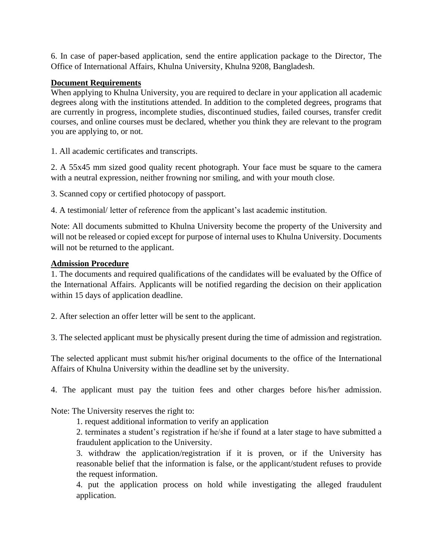6. In case of paper-based application, send the entire application package to the Director, The Office of International Affairs, Khulna University, Khulna 9208, Bangladesh.

#### **Document Requirements**

When applying to Khulna University, you are required to declare in your application all academic degrees along with the institutions attended. In addition to the completed degrees, programs that are currently in progress, incomplete studies, discontinued studies, failed courses, transfer credit courses, and online courses must be declared, whether you think they are relevant to the program you are applying to, or not.

1. All academic certificates and transcripts.

2. A 55x45 mm sized good quality recent photograph. Your face must be square to the camera with a neutral expression, neither frowning nor smiling, and with your mouth close.

3. Scanned copy or certified photocopy of passport.

4. A testimonial/ letter of reference from the applicant's last academic institution.

Note: All documents submitted to Khulna University become the property of the University and will not be released or copied except for purpose of internal uses to Khulna University. Documents will not be returned to the applicant.

#### **Admission Procedure**

1. The documents and required qualifications of the candidates will be evaluated by the Office of the International Affairs. Applicants will be notified regarding the decision on their application within 15 days of application deadline.

2. After selection an offer letter will be sent to the applicant.

3. The selected applicant must be physically present during the time of admission and registration.

The selected applicant must submit his/her original documents to the office of the International Affairs of Khulna University within the deadline set by the university.

4. The applicant must pay the tuition fees and other charges before his/her admission.

Note: The University reserves the right to:

1. request additional information to verify an application

2. terminates a student's registration if he/she if found at a later stage to have submitted a fraudulent application to the University.

3. withdraw the application/registration if it is proven, or if the University has reasonable belief that the information is false, or the applicant/student refuses to provide the request information.

4. put the application process on hold while investigating the alleged fraudulent application.